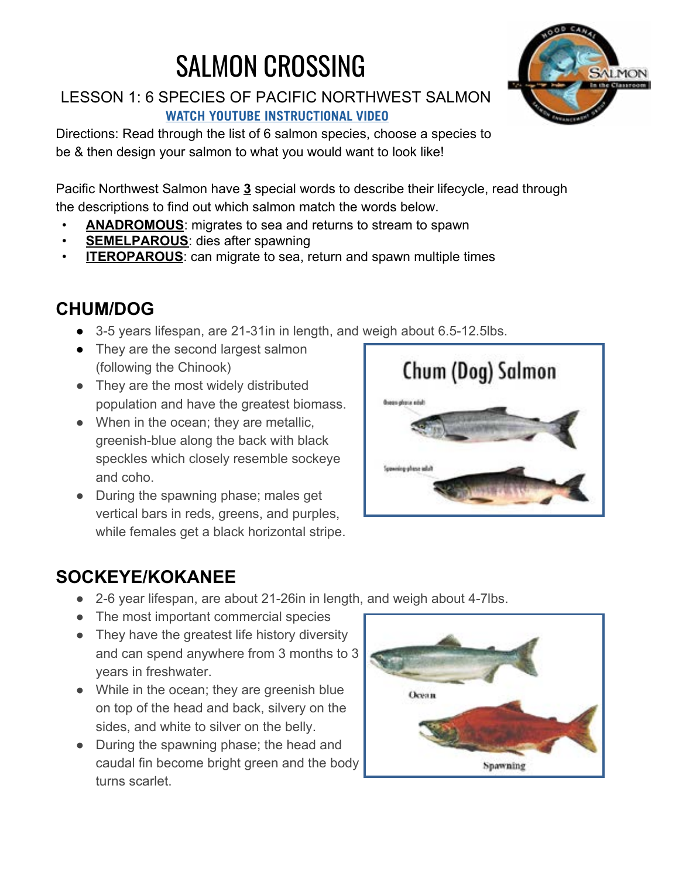# SALMON CROSSING

LESSON 1: 6 SPECIES OF PACIFIC NORTHWEST SALMON **[WATCH YOUTUBE INSTRUCTIONAL VIDEO](https://www.youtube.com/watch?v=yPbiQRz0Le4&feature=youtu.be)**

Directions: Read through the list of 6 salmon species, choose a species to be & then design your salmon to what you would want to look like!

Pacific Northwest Salmon have **3** special words to describe their lifecycle, read through the descriptions to find out which salmon match the words below.

- **ANADROMOUS**: migrates to sea and returns to stream to spawn
- **SEMELPAROUS:** dies after spawning
- **ITEROPAROUS:** can migrate to sea, return and spawn multiple times

### **CHUM/DOG**

- 3-5 years lifespan, are 21-31in in length, and weigh about 6.5-12.5lbs.
- They are the second largest salmon (following the Chinook)
- They are the most widely distributed population and have the greatest biomass.
- When in the ocean; they are metallic, greenish-blue along the back with black speckles which closely resemble sockeye and coho.
- During the spawning phase; males get vertical bars in reds, greens, and purples, while females get a black horizontal stripe.



### **SOCKEYE/KOKANEE**

- 2-6 year lifespan, are about 21-26in in length, and weigh about 4-7lbs.
- The most important commercial species
- They have the greatest life history diversity and can spend anywhere from 3 months to 3 years in freshwater.
- While in the ocean; they are greenish blue on top of the head and back, silvery on the sides, and white to silver on the belly.
- During the spawning phase; the head and caudal fin become bright green and the body turns scarlet.



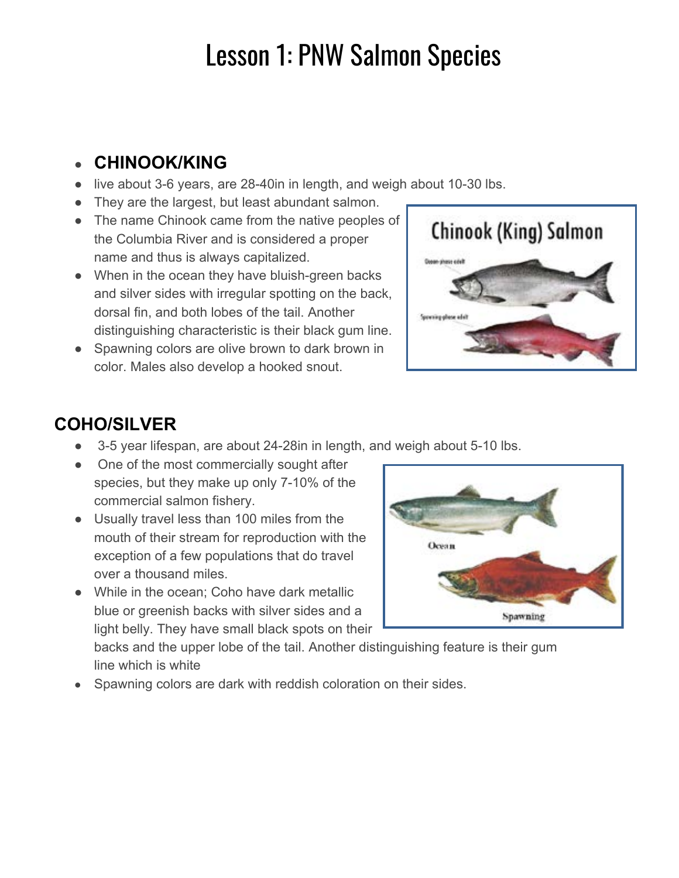# Lesson 1: PNW Salmon Species

#### ● **CHINOOK/KING**

- live about 3-6 years, are 28-40in in length, and weigh about 10-30 lbs.
- They are the largest, but least abundant salmon.
- The name Chinook came from the native peoples of the Columbia River and is considered a proper name and thus is always capitalized.
- When in the ocean they have bluish-green backs and silver sides with irregular spotting on the back, dorsal fin, and both lobes of the tail. Another distinguishing characteristic is their black gum line.
- Spawning colors are olive brown to dark brown in color. Males also develop a hooked snout.



### **COHO/SILVER**

- 3-5 year lifespan, are about 24-28 in in length, and weigh about 5-10 lbs.
- One of the most commercially sought after species, but they make up only 7-10% of the commercial salmon fishery.
- Usually travel less than 100 miles from the mouth of their stream for reproduction with the exception of a few populations that do travel over a thousand miles.
- While in the ocean; Coho have dark metallic blue or greenish backs with silver sides and a light belly. They have small black spots on their



backs and the upper lobe of the tail. Another distinguishing feature is their gum line which is white

Spawning colors are dark with reddish coloration on their sides.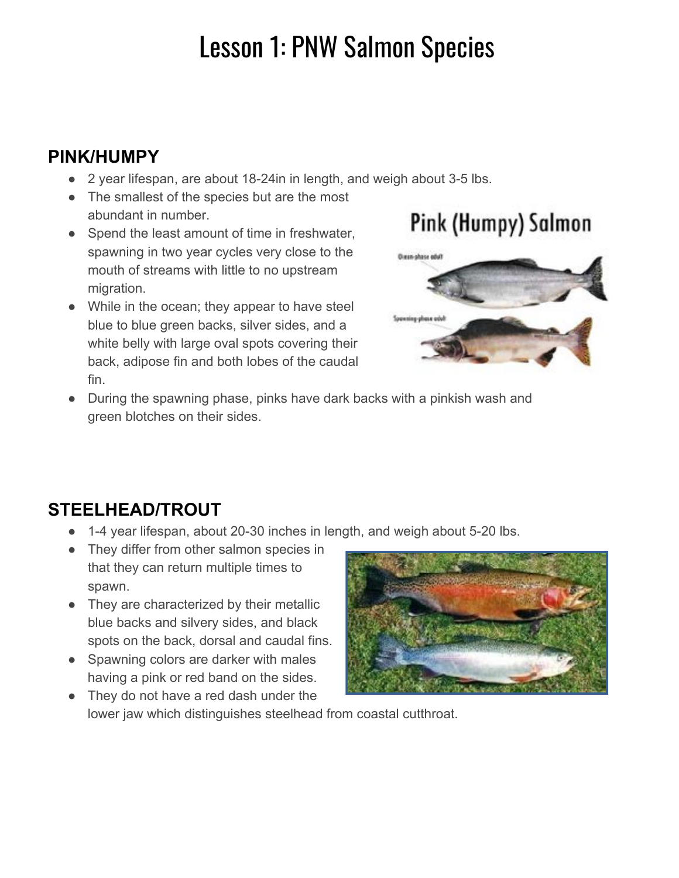# Lesson 1: PNW Salmon Species

### **PINK/HUMPY**

- 2 year lifespan, are about 18-24 in in length, and weigh about 3-5 lbs.
- The smallest of the species but are the most abundant in number.
- Spend the least amount of time in freshwater, spawning in two year cycles very close to the mouth of streams with little to no upstream migration.
- While in the ocean; they appear to have steel blue to blue green backs, silver sides, and a white belly with large oval spots covering their back, adipose fin and both lobes of the caudal fin.

### Pink (Humpy) Salmon



● During the spawning phase, pinks have dark backs with a pinkish wash and green blotches on their sides.

### **STEELHEAD/TROUT**

- 1-4 year lifespan, about 20-30 inches in length, and weigh about 5-20 lbs.
- They differ from other salmon species in that they can return multiple times to spawn.
- They are characterized by their metallic blue backs and silvery sides, and black spots on the back, dorsal and caudal fins.
- Spawning colors are darker with males having a pink or red band on the sides.



• They do not have a red dash under the lower jaw which distinguishes steelhead from coastal cutthroat.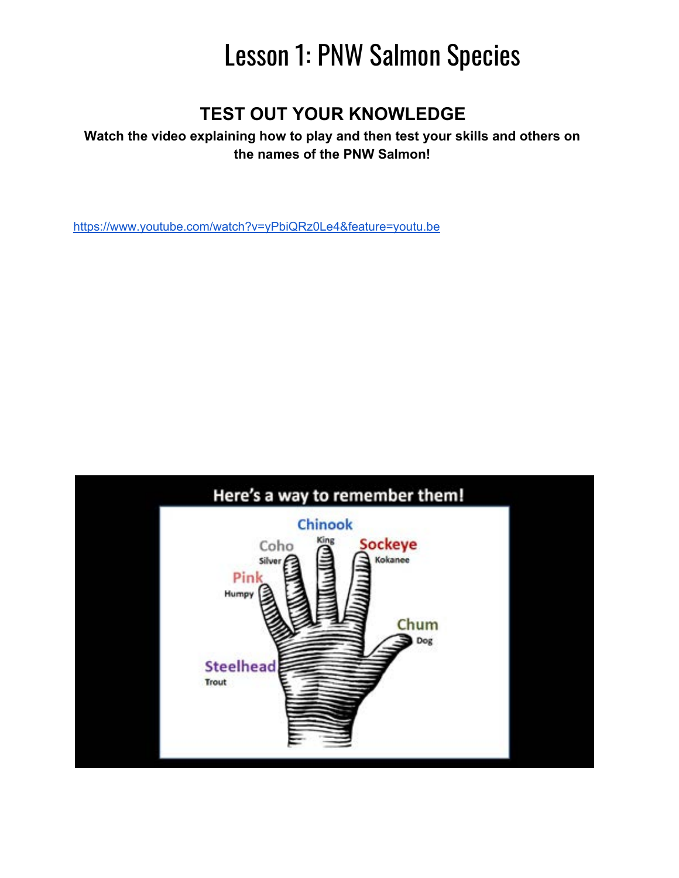# Lesson 1: PNW Salmon Species

#### **TEST OUT YOUR KNOWLEDGE**

#### **Watch the video explaining how to play and then test your skills and others on the names of the PNW Salmon!**

https://www.youtube.com/watch?v=yPbiQRz0Le4&feature=youtu.be

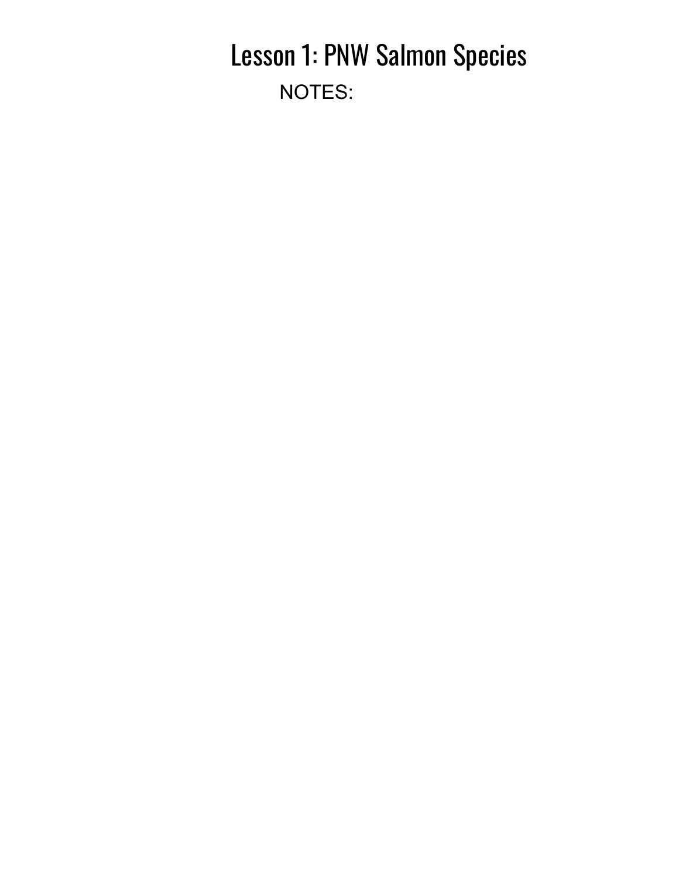## Lesson 1: PNW Salmon Species NOTES: